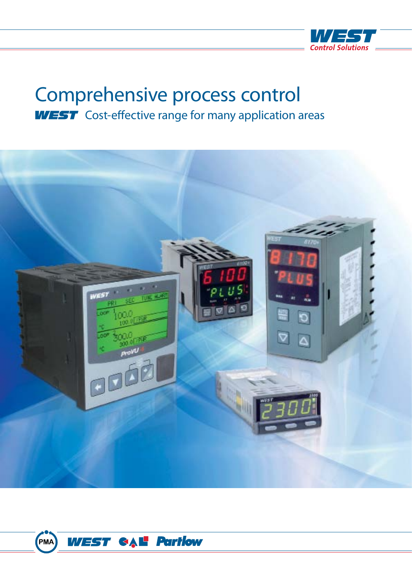

# Comprehensive process control **WEST** Cost-effective range for many application areas



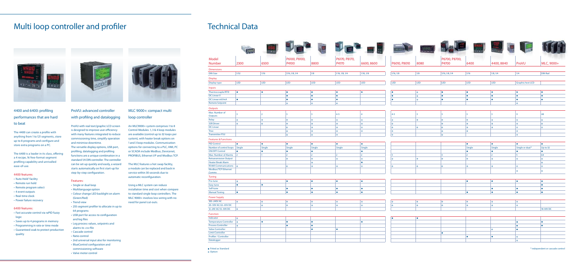# Technical Data



|                                                                                                                                        |             |              |                |           |                | Ve <sup>e</sup> al | maria        | Treaks <sup>th</sup> | DAVE SI        |              | <b>All 1</b> |                        |                 |
|----------------------------------------------------------------------------------------------------------------------------------------|-------------|--------------|----------------|-----------|----------------|--------------------|--------------|----------------------|----------------|--------------|--------------|------------------------|-----------------|
| <b>Model</b>                                                                                                                           |             |              | P6100, P8100,  |           | P6170, P8170,  |                    |              |                      | P6700, P8700,  |              |              |                        |                 |
| <b>Number</b>                                                                                                                          | 2300        | 6500         | P4100          | 8800      | P4170          | 6600, 8600         | P6010, P8010 | 8080                 | P4700          | 6400         | 4400,8840    | ProVU                  | MLC, 9000+      |
| <b>Dimensions</b>                                                                                                                      |             |              |                |           |                |                    |              |                      |                |              |              |                        |                 |
| <b>DIN Size</b>                                                                                                                        | 1/32        | 1/16         | 1/16, 1/8, 1/4 | 1/8       | 1/16, 1/8, 1/4 | 1/16, 1/8          | 1/16, 1/8    | 1/8                  | 1/16, 1/8, 1/4 | 1/16         | 1/8, 1/4     | 1/4                    | <b>DIN Rail</b> |
| <b>Display</b>                                                                                                                         |             |              |                |           |                |                    |              |                      |                |              |              |                        |                 |
| Display type                                                                                                                           | LED         | LED          | LED            | LED       | LED            | LED                | LED          | LED                  | LED            | LED          | LED          | Graphic/text LCD       |                 |
|                                                                                                                                        |             |              |                |           |                |                    |              |                      |                |              |              |                        |                 |
| <b>Inputs</b>                                                                                                                          |             |              |                |           |                |                    |              |                      |                |              |              |                        |                 |
| Thermocouple/RTD                                                                                                                       | I O         | I.           | I.             | $\bullet$ | IO.            | $\bullet$          | $\bullet$    | $ 0\rangle$          | I O            | I O          | ∣ ●          | ●                      | ∣ ●             |
| <b>DC Linear V</b>                                                                                                                     |             |              | I.             | $\bullet$ | I O            |                    | $\bullet$    | $  \circ$            | l o            | ∣ ●          | . ه          | l o                    | LO              |
| DC Linear mV/mA                                                                                                                        | I.          |              | I O            | $\bullet$ | $\bullet$      |                    | ۰            | $  \circ$            | ∣ ●            | ●            | I O          | I O                    | Ð               |
| <b>Remote Setpoint</b>                                                                                                                 |             |              | $  \circ  $    | $\circ$   | $ 0\rangle$    |                    |              |                      |                |              |              | $  \circ  $            |                 |
| Outputs                                                                                                                                |             |              |                |           |                |                    |              |                      |                |              |              |                        |                 |
| Max. Number of<br>Outputs                                                                                                              |             |              |                |           | $4-5$          | $\mathbf{A}$       | $4 - 5$      | l 3                  |                | l 3          |              | <b>g</b>               | 48              |
| Relay                                                                                                                                  | l ol        | $\circ$      | O              | 0         | $ 0\rangle$    | $\circ$            | $\circ$      | $ 0\rangle$          | $  \circ$      | $  \circ$    | $  \circ  $  | $\circ$                | O               |
| <b>SSR Driver</b>                                                                                                                      | $\circ$     | $\circ$      | l o            | O         | $ 0\rangle$    | $\circ$            | $\circ$      |                      | $  \circ  $    | $  \circ$    | $  \circ  $  | l ol                   | l o l           |
| <b>DC Linear</b>                                                                                                                       |             |              | l o l          | O         | $  \circ$      | $\circ$            | $\circ$      | $ 0\rangle$          | O              | $  \circ$    | $\circ$      | $\circ$                | O               |
| <b>Triac</b>                                                                                                                           |             |              | O              | O         | $ 0\rangle$    | $\circ$            | $  \circ  $  |                      | $  \circ$      | $  \circ$    |              | $  \circ  $            |                 |
| <b>Transmitter PSU</b>                                                                                                                 |             |              | $\circ$        | $\circ$   | $  \circ$      |                    | $  \circ  $  |                      | $  \circ  $    |              |              | $  \circ  $            |                 |
| <b>Features &amp; Functions</b>                                                                                                        |             |              |                |           |                |                    |              |                      |                |              |              |                        |                 |
| <b>PID Control</b>                                                                                                                     | I O         | I.           | $\bullet$      | $\bullet$ | $\bullet$      | $\bullet$          |              |                      |                | $\bullet$    | $\bullet$    | I O                    | I.              |
|                                                                                                                                        |             |              |                |           |                |                    |              |                      |                |              |              |                        |                 |
|                                                                                                                                        | Single      |              |                | Single    | Single         | Single             |              |                      |                |              | Single       | Single or dual*        | Up to 32        |
|                                                                                                                                        | I O         | Single<br>I. | Single<br>I.   | $\bullet$ |                | $\bullet$          |              |                      |                | Single<br>I. | l o          | <b>O</b>               | <b>CO</b>       |
|                                                                                                                                        | $\vert$ 2   | $\vert$ 1    | $\vert$ 2      | $\vert$ 2 | $ 2\rangle$    | $\overline{2}$     | 5            |                      | $\vert$ 3      | $\vert$ 2    | $\vert$ 2    | 5                      | 64              |
|                                                                                                                                        |             |              | l o l          | O         | $  \circ$      | $\circ$            | l ol         | $ 0\rangle$          | $  \circ  $    | $  \circ  $  | $  \circ  $  | $\circ$                | l o             |
| Number of control loops<br><b>ON/OFF Control</b><br>Max. Number of Alarms<br><b>Retransmission Output</b><br><b>Heater Break Alarm</b> |             |              |                | 0         |                | $\bullet$          |              |                      |                |              |              |                        | $\circ$         |
| RS485 Communications   O                                                                                                               |             |              | O              | O         | $ 0\rangle$    | $\circ$            | $\circ$      | $ 0\rangle$          | O              | $  \circ$    | $ 0\rangle$  | $ 0\rangle$            | O               |
|                                                                                                                                        |             |              |                |           |                |                    |              |                      |                |              |              | $  \circ  $            | $  \circ  $     |
|                                                                                                                                        |             |              |                |           |                |                    |              |                      |                |              |              |                        |                 |
|                                                                                                                                        |             |              |                |           |                |                    |              |                      |                |              |              |                        |                 |
|                                                                                                                                        | $ 0\rangle$ |              | ●              | $\bullet$ | $\bullet$      | $\bullet$          |              |                      |                | $\bullet$    | $\bullet$    | ●                      | I O             |
| Modbus/TCP Ethernet<br>Comms<br>Tuning<br>Pre-tune<br>Easy-tune                                                                        | l o         |              |                |           |                |                    |              |                      |                |              |              |                        |                 |
| Self-tune                                                                                                                              |             |              | $\bullet$      | $\bullet$ | ∣ ●            | $\bullet$          |              |                      |                |              | і О          | $\bullet$              |                 |
|                                                                                                                                        | I.          |              | l e i          | l o       | I.             | $\bullet$          |              |                      |                | I.           | l o          | l o                    | I O             |
| <b>Manual Tuning</b><br><b>Power Supply</b>                                                                                            |             |              |                |           |                |                    |              |                      |                |              |              |                        |                 |
| 100-240V AC                                                                                                                            | $  \circ  $ | $\circ$      | O              | O         | $ 0\rangle$    | $\circ$            | $\circ$      | $ 0\rangle$          | $  \circ  $    | $  \circ  $  | $ 0\rangle$  | $  \circ$              |                 |
|                                                                                                                                        |             | $  \circ  $  | $  \circ  $    | O         | $  \circ$      | $\circ$            | $\circ$      | $ 0\rangle$          | $  \circ  $    | $  \circ  $  | $  \circ  $  | $  \circ  $            |                 |
| 20-50V AC/22-65V DC<br>12-24V AC/12-30V DC                                                                                             | $ 0\rangle$ |              |                |           |                |                    |              |                      |                |              |              |                        | 18-30V DC       |
| Function                                                                                                                               |             |              |                |           |                |                    |              |                      |                |              |              |                        |                 |
|                                                                                                                                        | $ 0\rangle$ |              |                |           |                |                    | $\bullet$    | I O                  |                |              |              |                        |                 |
|                                                                                                                                        | $\circ$     | l O          |                |           |                | $\bullet$          |              |                      |                |              |              | <b>O</b>               |                 |
|                                                                                                                                        | $\circ$     |              | $\bullet$      |           |                |                    |              |                      |                |              |              | lo                     |                 |
|                                                                                                                                        |             |              |                |           | lo             |                    |              |                      |                |              | $\circ$      | <b>O</b>               |                 |
| Indicator<br><b>Temperature Controller</b><br><b>Process Controller</b><br><b>Valve Controller</b><br><b>Limit Controller</b>          |             |              |                |           |                |                    |              |                      | I O            |              |              |                        |                 |
| Profiler / Controller<br>Datalogger                                                                                                    |             |              |                |           |                |                    |              |                      |                | I O          | ∣ ●          | $\circ$<br>$  \circ  $ |                 |

**•** Fitted as Standard O Option

An MLC9000+ system comprises 1 to 8 Control Modules. 1, 3 & 4 loop modules are available (control up to 32 loops per system), with heater break options on 1 and 3 loop modules. Communication options for connecting to a PLC, HMI, PC or SCADA include Modbus, Devicenet, PROFIBUS, Ethernet I/P and Modbus TCP.

# Multi loop controller and profiler

## 4400 and 6400: profiling performances that are hard to beat

The 4400 can create a profile with anything from 1 to 121 segments, store up to 8 programs and configure and store extra programs on a PC.

The 6400 is a leader in its class, offering a 4 recipe, 16 free-format segment profiling capability and unrivalled ease-of-use.

#### 4400 features:

- 'Auto Hold' facility
- Remote run hold
- Remote program select
- 4 event outputs
- Real-time clock
- Power failure recovery

#### 6400 features:

- Fast accurate control via raPID fuzzy logic
- Saves up to 4 programs in memory
- Programming in rate or time mode
- Guaranteed soak to protect production quality



## MLC 9000+: compact multi loop controller

The MLC features a hot swap facility, a module can be replaced and back in service within 30 seconds due to automatic reconfiguration.

Using a MLC system can reduce installation time and cost when compare to standard single loop controllers. The MLC 9000+ involves less wiring with no need for panel cut-outs.

## ProVU: advanced controller with profiling and datalogging

ProVU with real text/graphic LCD screen is designed to improve user efficiency with many features integrated to reduce commissioning time, simplify operation and minimise downtime. The versatile display options, USB port, profiling, datalogging and profiling functions are a unique combination in a standard 1/4 DIN controller. The controller can be set-up quickly and easily, a wizard starts automatically on first start-up for step-by-step configuration.

#### Features:

- Single or dual loop
- Multilanguage option
- Colour change LED backlight on alarm (Green/Red)
- Trend view
- 255 segment profiler to allocate in up to 64 programs
- USB port for access to configuration and log files
- Log process values, setpoints and alarms to .csv file
- Cascade control
- Ratio control
- 2nd universal input also for monitoring
- BlueControl configuration and
- commissioning software
- Valve motor control

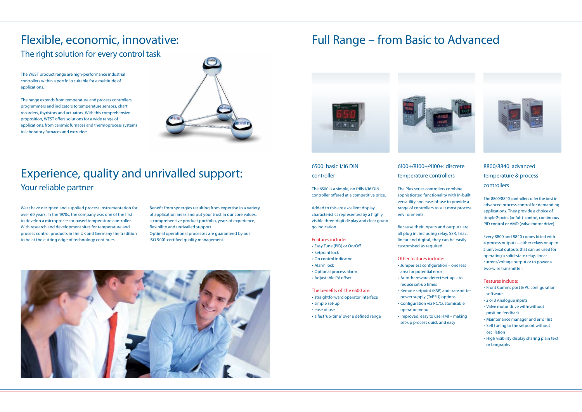# Flexible, economic, innovative: The right solution for every control task

# Experience, quality and unrivalled support: Your reliable partner

The WEST product range are high-performance industrial controllers within a portfolio suitable for a multitude of applications.

The range extends from temperature and process controllers, programmers and indicators to temperature sensors, chart recorders, thyristors and actuators. With this comprehensive proposition, WEST offers solutions for a wide range of applications: from ceramic furnaces and thermoprocess systems to laboratory furnaces and extruders.



West have designed and supplied process instrumentation for over 60 years. In the 1970s, the company was one of the first to develop a microprocessor based temperature controller. With research and development sites for temperature and process control products in the UK and Germany the tradition to be at the cutting edge of technology continues.

Benefit from synergies resulting from expertise in a variety of application areas and put your trust in our core values: a comprehensive product portfolio, years of experience, flexibility and unrivalled support.

Optimal operational processes are guaranteed by our ISO 9001-certified quality management.



6500: basic 1/16 DIN controller

The 6500 is a simple, no frills 1/16 DIN controller offered at a competitive price.

Added to this are excellent display characteristics represented by a highly visible three-digit display and clear go/no go indication.

#### Features include:

- Easy Tune (PID) or On/Off
- Setpoint lock • On control indicator
- Alarm lock
- Optional process alarm
- Adjustable PV offset
- The benefits of the 6500 are: • straightforward operator interface
- simple set-up
- ease of use
- a fast 'up-time' over a defined range

## 8800/8840: advanced temperature & process controllers

The 8800/8840 controllers offer the best in advanced process control for demanding applications. They provide a choice of simple 2-point (on/off) control, continuous PID control or VMD (valve motor drive).

Every 8800 and 8840 comes fitted with 4 process outputs – either relays or up to 2 universal outputs that can be used for operating a solid-state relay, linear current/voltage output or to power a two-wire transmitter.

Features include:

- Front Comms port & PC configuration software
- 2 or 3 Analogue inputs
- Valve motor drive with/without position feedback
- Maintenance manager and error list
- Self tuning to the setpoint without oscillation
- High visibility display sharing plain text or bargraphs

# 6100+/8100+/4100+: discrete



temperature controllers The Plus series controllers combine sophisticated functionality with in-built versatility and ease-of-use to provide a range of controllers to suit most process

environments.

Because their inputs and outputs are all plug in, including relay, SSR, triac, linear and digital, they can be easily customised as required.

Other features include: • Jumperless configuration – one less area for potential error

- Auto-hardware detect/set-up to reduce set-up times
- Remote setpoint (RSP) and transmitter power supply (TxPSU) options
- Configuration via PC/Customisable operator menu
	- Improved, easy to use HMI making set-up process quick and easy



# Full Range – from Basic to Advanced

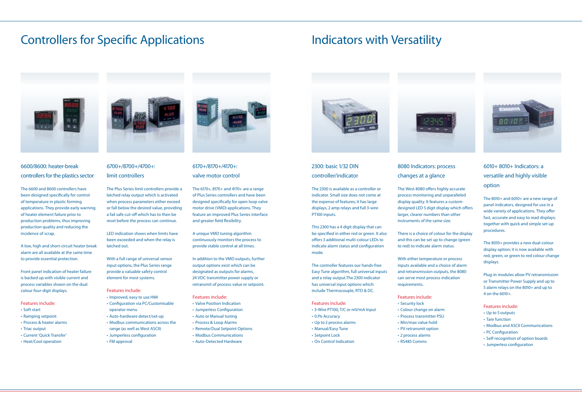#### 2300: basic 1/32 DIN controller/indicator

The 2300 is available as a controller or indicator. Small size does not come at the expense of features; it has large displays, 2 amp relays and full 3-wire PT100 inputs.

This 2300 has a 4 digit display that can be specified in either red or green. It also offers 3 additional multi-colour LEDs to indicate alarm status and configuration mode.

The controller features our hands-free Easy Tune algorithm, full universal inputs and a relay output.The 2300 indicator has universal input options which include Thermocouple, RTD & DC.

#### Features include:

- 3-Wire PT100, T/C or mV/mA Input
- 0.1% Accuracy
- Up to 2 process alarms
- Manual/Easy Tune
- Setpoint Lock
- On Control Indication

# Controllers for Specific Applications **Indicators with Versatility**



### 6600/8600: heater-break controllers for the plastics sector

The 6600 and 8600 controllers have been designed specifically for control of temperature in plastic forming applications. They provide early warning of heater element failure prior to production problems, thus improving production quality and reducing the incidence of scrap.

A low, high and short-circuit heater break alarm are all available at the same time to provide essential protection.

Front panel indication of heater failure is backed up with visible current and process variables shown on the dual colour four-digit displays.

#### Features include:

- Soft start
- Ramping setpoint
- Process & heater alarms
- Triac output
- Current 'Quick Transfer'
- Heat/Cool operation



## 6010+ 8010+ Indicators: a versatile and highly visible option

The 8010+ and 6010+ are a new range of panel indicators, designed for use in a wide variety of applications. They offer fast, accurate and easy to read displays; together with quick and simple set-up procedures.

The 8010+ provides a new dual-colour display option; it is now available with red, green, or green to red colour change displays.

Plug-in modules allow PV retransmission or Transmitter Power Supply and up to 5 alarm relays on the 8010+ and up to 4 on the 6010+.

#### Features include:

- Up to 5 outputs
- Tare function
- Modbus and ASCII Communications
- PC Configuration
- Self-recognition of option boards
- Jumperless configuration

## 6170+/8170+/4170+: valve motor control

The 6170+, 8170+ and 4170+ are a range of Plus Series controllers and have been designed specifically for open loop valve motor drive (VMD) applications. They feature an improved Plus Series interface and greater field flexibility.

A unique VMD tuning algorithm continuously monitors the process to provide stable control at all times.

In addition to the VMD outputs, further output options exist which can be designated as outputs for alarms, 24 VDC transmitter power supply or retransmit of process value or setpoint.

#### Features include:

- Valve Position Indication
- Jumperless Configuration
- Auto or Manual tuning
- Process & Loop Alarms
- Remote/Dual Setpoint Options
- Modbus Communications
- Auto-Detected Hardware



# 8080 Indicators: process changes at a glance

The West 8080 offers highly accurate process monitoring and unparalleled display quality. It features a customdesigned LED 5 digit display which offers larger, clearer numbers than other instruments of the same size.

There is a choice of colour for the display and this can be set up to change (green to red) to indicate alarm status.



With either temperature or process inputs available and a choice of alarm and retransmission outputs, the 8080 can serve most process indication requirements.

#### Features include:

- Security lock
- Colour change on alarm
- Process transmitter PSU
- Min/max value hold • PV retransmit option
- 2 process alarms
- RS485 Comms





## 6700+/8700+/4700+: limit controllers

The Plus Series limit controllers provide a latched relay output which is activated when process parameters either exceed or fall below the desired value, providing a fail safe cut-off which has to then be reset before the process can continue.

LED indication shows when limits have been exceeded and when the relay is latched out.

With a full range of universal sensor input options, the Plus Series range provide a valuable safety control element for most systems.

Features include:

- Improved, easy to use HMI
- Configuration via PC/Customisable operator menu • Auto-hardware detect/set-up
- Modbus communications across the
- range (as well as West ASCII) • Jumperless configuration
- FM approval